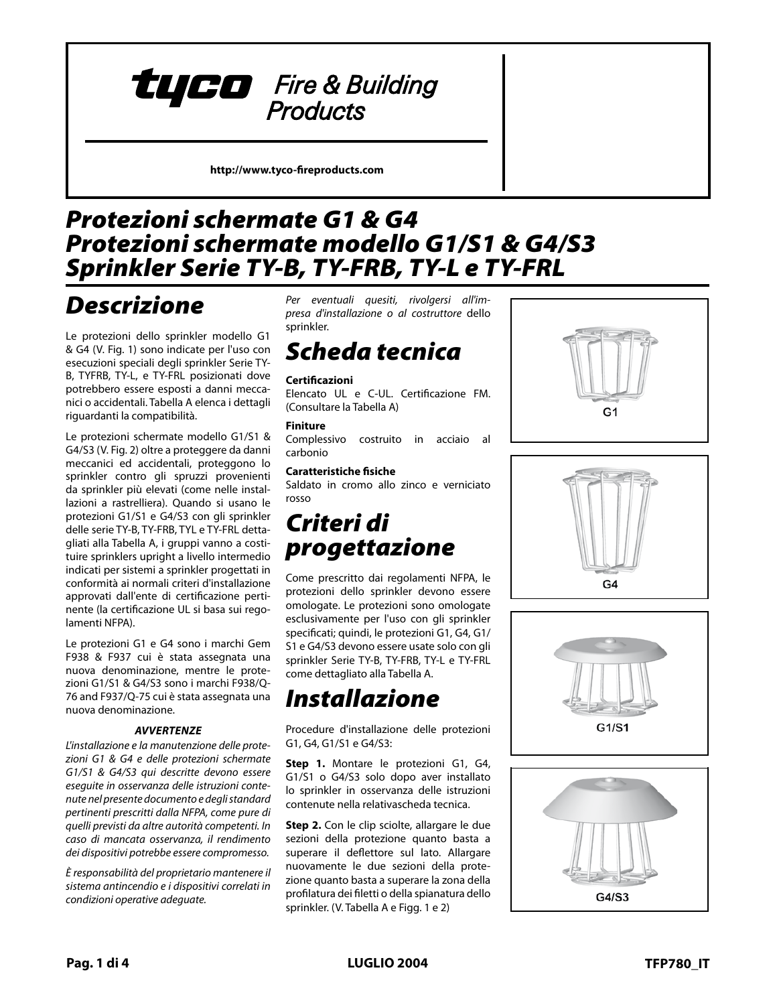

**http://www.tyco-fireproducts.com** 

## *Model G1 & G4 Sprinkler Guards Protezioni schermate G1 & G4 Model G1/S1 & G4/S3 Guards with Shields Protezioni schermate modello G1/S1 & G4/S3 Sprinkler Serie TY-B, TY-FRB, TY-L e TY-FRL*

# *General Descrizione*

*Description* Le protezioni dello sprinkler modello G1 esecuzioni speciali degli sprinkler Serie TY-B, TYFRB, TY-L, e TY-FRL posizionati dove potrebbero essere esposti a danni meccap en san era accio a specie a manha massa.<br>nici o accidentali. Tabella A elenca i dettagli may be decreasing in abelia in ciclica i declarge riguardanti la compatibilità. & G4 (V. Fig. 1) sono indicate per l'uso con

Le protezioni schermate modello G1/S1 & G4/S3 (V. Fig. 2) oltre a proteggere da danni meccanici ed accidentali, proteggono lo sprinkler contro gli spruzzi provenienti da sprinkler più elevati (come nelle installazioni a rastrelliera). Quando si usano le protezioni G1/S1 e G4/S3 con gli sprinkler of higher elevation sprinklers (e.g., delle serie TY-B, TY-FRB, TYL e TY-FRL dettaache sene i i b, i i i nb, i i e e i i i ne actta<br>gliati alla Tabella A, i gruppi vanno a costiwhen and Tabella A, I gruppi varillo a costi<br>wise enginkless workelste livelle intermenti tuire sprinklers upright a livello intermedio indicati per sistemi a sprinkler progettati in conformità ai normali criteri d'installazione approvati dall'ente di certificazione pertinente (la certificazione UL si basa sui regolamenti NFPA).

lation rules recognized by the applica-Le protezioni G1 e G4 sono i marchi Gem F938 & F937 cui è stata assegnata una The General Gauge Cape Cape Gauge Cape Gauge<br>The Gauge Cauge zioni G1/S1 & G4/S3 sono i marchi F938/Q-76 and F937/Q-75 cui è stata assegnata una nuova denominazione. nuova denominazione, mentre le prote-

### **WARNINGS** *AVVERTENZE*

L'installazione e la manutenzione delle protezioni G1 & G4 e delle protezioni schermate G1/S1 & G4/S3 qui descritte devono essere eseguite in osservanza delle istruzioni conteance with this document, as well as *nute nel presente documento e degli standard*  with the presence absent the category standards of the applicable standards of the standards of the standards o pertinenti prescritti dalla NFPA, come pure di<br>**dia matema** quelli previsti da altre autorità competenti. In<br>... other authorities having jurisdiction. *caso di mancata osservanza, il rendimento*  Failure to do so may impair the integ-*dei dispositivi potrebbe essere compromesso.* 

rity of these devices. *È responsabilità del proprietario mantenere il*  The owner is responsible for maintain-*sistema antincendio e i dispositivi correlati in*  in the membership of supposition sources in the membership of the protection of the system and devices in proper operating condition. *condizioni operative adeguate.*

*Technical presa d'installazione o al costruttore* dello *Per eventuali quesiti, rivolgersi all'im*sprinkler.

## prinkier.<br>**Data Approvals** *Scheda tecnica*

### UL and C-UL Listed. FM Approved. **Certificazioni**

**Certificazioni**<br>Elencato UL e C-UL. Certificazione FM. **Finishes** (Consultare la Tabella A) Red Painted and Zinc Chromate

#### **Finiture**

**Physical Characteristics**<br>Physical contruito in Complessivo costruito in acciaio al<br>carbonio carbonio

### **Caratteristiche fisiche**

Saldato in cromo allo zinco e verniciato<br>rosso rosso

#### $\epsilon$  is a cordinate with the requirements of  $\epsilon$ of the NFPA, sprinkler guards shall be *Criteri di*   $\ldots$   $\ldots$   $\ldots$   $\ldots$ progettazione  $G_1$  ,  $G_2$  must only and  $G_3$  must only and  $G_4$

Come prescritto dai regolamenti NFPA, le protezioni dello sprinkler devono essere Table A. omologate. Le protezioni sono omologate *Installation* specificati; quindi, le protezioni G1, G4, G1/ sprinkler Serie TY-B, TY-FRB, TY-L e TY-FRL Sprinker Sene in B, in thB, in E e in t<br>come dettagliato alla Tabella A. esclusivamente per l'uso con gli sprinkler S1 e G4/S3 devono essere usate solo con gli

### **Step 1.** The G1, G4, G1/S1, or G4/S3 *Installazione* is to be monopolities on the springler and springler after a springler after a spinkler after a spinkler after

 $\mathbf{t} = \mathbf{t}$  installer has been installer installer installer installer installer in ac-Procedure d'installazione delle protezioni G1, G4, G1/S1 e G4/S3:

Step 1. Montare le protezioni G1, G4, G1/S1 o G4/S3 solo dopo aver installato lo sprinkler in osservanza delle istruzioni contenute nella relativascheda tecnica. once again spread the two halves of the two halves of the two halves of the two halves of the two halves of the two halves of the two halves of the two halves of the two halves of the two halves of the two halves of the tw

Step 2. Con le clip sciolte, allargare le due sezioni della protezione quanto basta a superare il deflettore sul lato. Allargare portion of the sprinkler. (Refer to Table nuovamente le due sezioni della protendovamente le que sezioni della prote-<br>zione quanto basta a superare la zona della profilatura dei filetti o della spianatura dello tion.<br>The *I* of the *M* Tabella A e Finn 1 e 2) sprinkler. (V. Tabella A e Figg. 1 e 2)







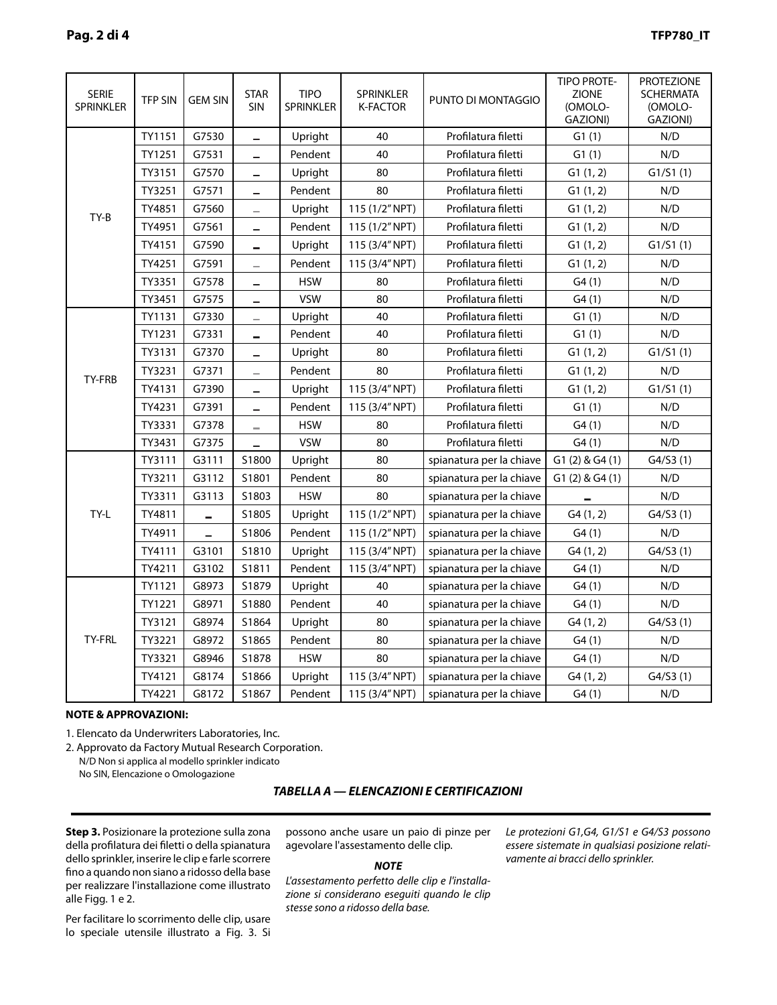| <b>SERIE</b><br>SPRINKLER | <b>TFP SIN</b> | <b>GEM SIN</b>           | <b>STAR</b><br><b>SIN</b> | <b>TIPO</b><br><b>SPRINKLER</b> | SPRINKLER<br><b>K-FACTOR</b> | PUNTO DI MONTAGGIO       | <b>TIPO PROTE-</b><br><b>ZIONE</b><br>(OMOLO-<br>GAZIONI) | <b>PROTEZIONE</b><br><b>SCHERMATA</b><br>(OMOLO-<br>GAZIONI) |
|---------------------------|----------------|--------------------------|---------------------------|---------------------------------|------------------------------|--------------------------|-----------------------------------------------------------|--------------------------------------------------------------|
| TY-B                      | TY1151         | G7530                    | $\equiv$                  | Upright                         | 40                           | Profilatura filetti      | G1(1)                                                     | N/D                                                          |
|                           | TY1251         | G7531                    | -                         | Pendent                         | 40                           | Profilatura filetti      | G1(1)                                                     | N/D                                                          |
|                           | TY3151         | G7570                    | -                         | Upright                         | 80                           | Profilatura filetti      | G1(1, 2)                                                  | G1/S1(1)                                                     |
|                           | TY3251         | G7571                    |                           | Pendent                         | 80                           | Profilatura filetti      | G1(1, 2)                                                  | N/D                                                          |
|                           | TY4851         | G7560                    | -                         | Upright                         | 115 (1/2" NPT)               | Profilatura filetti      | G1(1, 2)                                                  | N/D                                                          |
|                           | TY4951         | G7561                    | -                         | Pendent                         | 115 (1/2" NPT)               | Profilatura filetti      | G1(1, 2)                                                  | N/D                                                          |
|                           | TY4151         | G7590                    | ÷                         | Upright                         | 115 (3/4" NPT)               | Profilatura filetti      | G1(1, 2)                                                  | G1/S1(1)                                                     |
|                           | TY4251         | G7591                    | $\overline{\phantom{0}}$  | Pendent                         | 115 (3/4" NPT)               | Profilatura filetti      | G1(1, 2)                                                  | N/D                                                          |
|                           | TY3351         | G7578                    | $\equiv$                  | <b>HSW</b>                      | 80                           | Profilatura filetti      | G4(1)                                                     | N/D                                                          |
|                           | TY3451         | G7575                    | $\equiv$                  | <b>VSW</b>                      | 80                           | Profilatura filetti      | G4(1)                                                     | N/D                                                          |
| TY-FRB                    | TY1131         | G7330                    | $\overline{\phantom{a}}$  | Upright                         | 40                           | Profilatura filetti      | G1(1)                                                     | N/D                                                          |
|                           | TY1231         | G7331                    |                           | Pendent                         | 40                           | Profilatura filetti      | G1(1)                                                     | N/D                                                          |
|                           | TY3131         | G7370                    | -                         | Upright                         | 80                           | Profilatura filetti      | G1(1, 2)                                                  | G1/S1(1)                                                     |
|                           | TY3231         | G7371                    | -                         | Pendent                         | 80                           | Profilatura filetti      | G1(1, 2)                                                  | N/D                                                          |
|                           | TY4131         | G7390                    | $\equiv$                  | Upright                         | 115 (3/4" NPT)               | Profilatura filetti      | G1(1, 2)                                                  | G1/S1(1)                                                     |
|                           | TY4231         | G7391                    | $\equiv$                  | Pendent                         | 115 (3/4" NPT)               | Profilatura filetti      | G1(1)                                                     | N/D                                                          |
|                           | TY3331         | G7378                    | $\overline{\phantom{a}}$  | <b>HSW</b>                      | 80                           | Profilatura filetti      | G4(1)                                                     | N/D                                                          |
|                           | TY3431         | G7375                    | -                         | <b>VSW</b>                      | 80                           | Profilatura filetti      | G4(1)                                                     | N/D                                                          |
| TY-L                      | TY3111         | G3111                    | S1800                     | Upright                         | 80                           | spianatura per la chiave | G1(2) & G4(1)                                             | G4/S3(1)                                                     |
|                           | TY3211         | G3112                    | S1801                     | Pendent                         | 80                           | spianatura per la chiave | G1(2) & G4(1)                                             | N/D                                                          |
|                           | TY3311         | G3113                    | S1803                     | <b>HSW</b>                      | 80                           | spianatura per la chiave |                                                           | N/D                                                          |
|                           | TY4811         | -                        | S1805                     | Upright                         | 115 (1/2" NPT)               | spianatura per la chiave | G4(1, 2)                                                  | G4/S3(1)                                                     |
|                           | TY4911         | $\overline{\phantom{0}}$ | S1806                     | Pendent                         | 115 (1/2" NPT)               | spianatura per la chiave | G4(1)                                                     | N/D                                                          |
|                           | TY4111         | G3101                    | S1810                     | Upright                         | 115 (3/4" NPT)               | spianatura per la chiave | G4(1, 2)                                                  | G4/S3(1)                                                     |
|                           | TY4211         | G3102                    | S1811                     | Pendent                         | 115 (3/4" NPT)               | spianatura per la chiave | G4(1)                                                     | N/D                                                          |
| TY-FRL                    | TY1121         | G8973                    | S1879                     | Upright                         | 40                           | spianatura per la chiave | G4(1)                                                     | N/D                                                          |
|                           | TY1221         | G8971                    | S1880                     | Pendent                         | 40                           | spianatura per la chiave | G4(1)                                                     | N/D                                                          |
|                           | TY3121         | G8974                    | S1864                     | Upright                         | 80                           | spianatura per la chiave | G4(1, 2)                                                  | G4/S3(1)                                                     |
|                           | TY3221         | G8972                    | S1865                     | Pendent                         | 80                           | spianatura per la chiave | G4(1)                                                     | N/D                                                          |
|                           | TY3321         | G8946                    | S1878                     | <b>HSW</b>                      | 80                           | spianatura per la chiave | G4(1)                                                     | N/D                                                          |
|                           | TY4121         | G8174                    | S1866                     | Upright                         | 115 (3/4" NPT)               | spianatura per la chiave | G4(1, 2)                                                  | G4/S3(1)                                                     |
|                           | TY4221         | G8172                    | S1867                     | Pendent                         | 115 (3/4" NPT)               | spianatura per la chiave | G4(1)                                                     | N/D                                                          |

#### **APPROVALS & NOTES: NOTE & APPROVAZIONI:**

1. Elencato da Underwriters Laboratories, Inc.

Approved by Factory Mutual Research Corporation. 2. Approvato da Factory Mutual Research Corporation. 2. Notified the form of the springler.

N/D Non si applica al modello sprinkler indicato No SIN, Elencazione o Omologazione

#### **TABLE A — LABORATORY LISTINGS AND APPROVALS** *TABELLA A — ELENCAZIONI E CERTIFICAZIONI*

**Step 3.** Posizionare la protezione sulla zona della profilatura dei filetti o della spianatura 2. dello sprinkler, inserire le clip e farle scorrere fino a quando non siano a ridosso della base per realizzare l'installazione come illustrato alle Figg. 1 e 2.

tion, pliers can be used to facilitate the Per facilitare lo scorrimento delle clip, usare lo speciale utensile illustrato a Fig. 3. Si

possono anche usare un paio di pinze per agevolare l'assestamento delle clip.

#### $\ddotsc$  order to be considered functions of  $\ddotsc$  $NO/E$ *NOTE*

L'assestamento perfetto delle clip e l'installa-The G1,G4, G1/S1, and G4/S3 may be *zione si considerano eseguiti quando le clip*  located in any position relative to the *stesse sono a ridosso della base.*

*Le protezioni G1,G4, G1/S1 e G4/S3 possono essere sistemate in qualsiasi posizione relativamente ai bracci dello sprinkler.*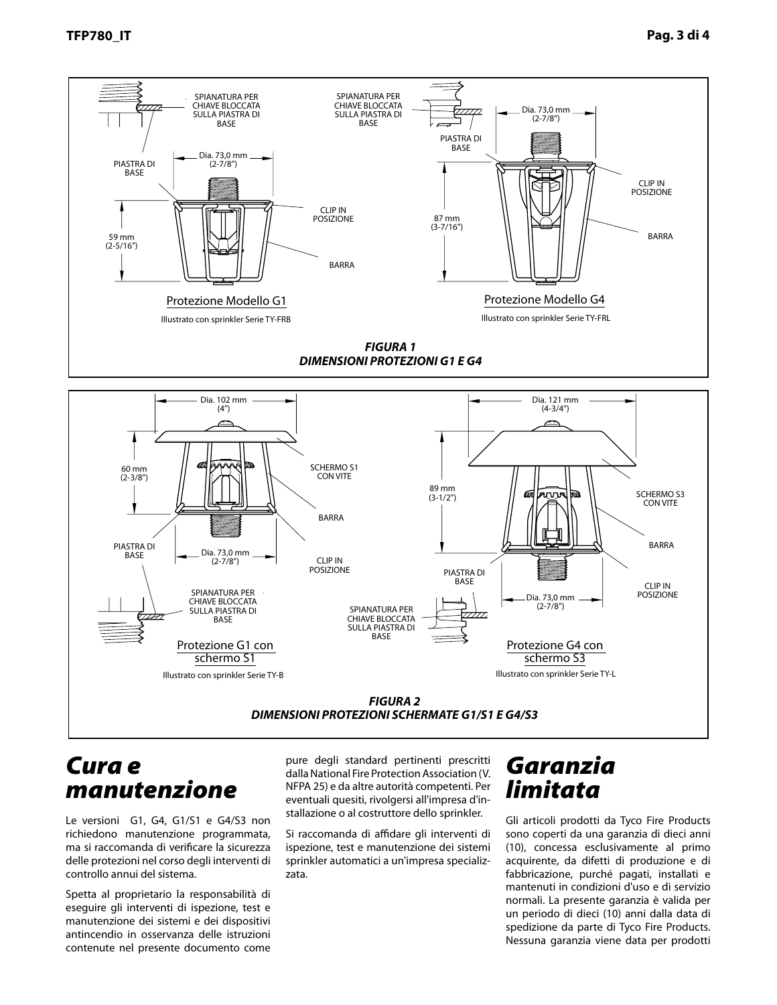

## *Care and Cura e Maintenance manutenzione*

Le versioni G1, G4, G1/S1 e G4/S3 non G4/S3 do not require any regularly richiedono manutenzione programmata, ichedulu manutenzione programmata ma si raccomanda di verificare la sicurezza delle protezioni nel corso degli interventi di controllo annui del sistema.

spetta al proprietario la responsabilità di eseguire gli interventi di ispezione, test e manutenzione dei sistemi e dei dispositivi antincendio in osservanza delle istruzioni contenute nel presente documento come

pure degli standard pertinenti prescritti .<br>dalla National Fire Protection Association (V. ment, as well as with the applicable NFPA 25) e da altre autorità competenti. Per standard competent. eventuali quesiti, rivolgersi all'impresa d'in-<br>etallazione e alleraturitano della sprinklaga stallazione o al costruttore dello sprinkler.

Si raccomanda di affidare gli interventi di stalling contractor or sprinkler manu-ispezione, test e manutenzione dei sistemi spezione, test e manutenzione dei sistemi<br>mialdor sutemetici e unlimenze en ecielisprinkler automatici a un'impresa specializzata.

## *Limited Garanzia Warranty limitata*

Gli articoli prodotti da Tyco Fire Products Products are warranted solely to the sono coperti da una garanzia di dieci anni ono coperti da una galanzia di dieci anni<br>10) (10), concessa esclusivamente al primo acquirente, da difetti di produzione e di fabbricazione, purché pagati, installati e mantenuti in condizioni d'uso e di servizio normali. La presente garanzia è valida per un periodo di dieci (10) anni dalla data di spedizione da parte di Tyco Fire Products. Nessuna garanzia viene data per prodotti